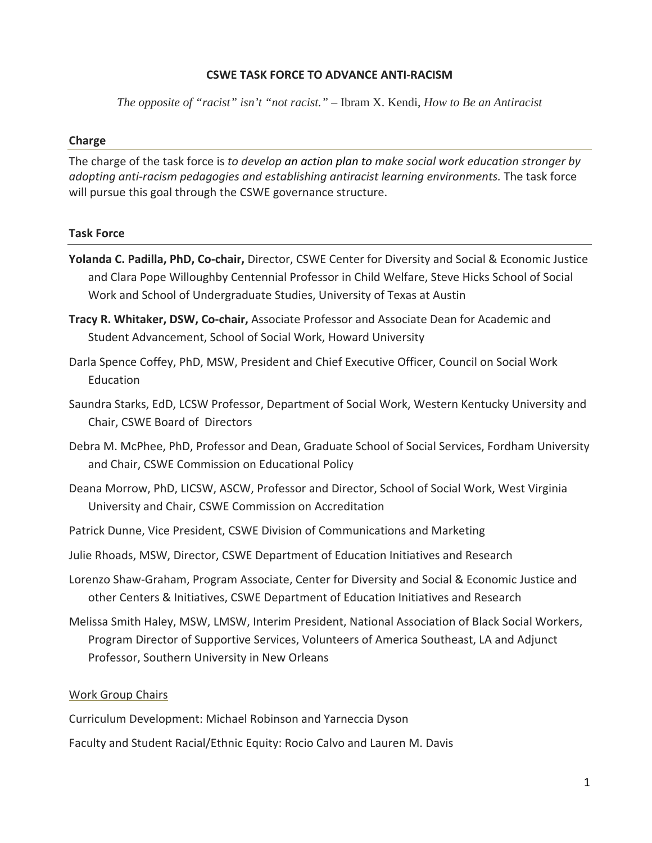### **CSWE TASK FORCE TO ADVANCE ANTI-RACISM**

*The opposite of "racist" isn't "not racist." –* Ibram X. Kendi, *How to Be an Antiracist*

#### **Charge**

The charge of the task force is *to develop an action plan to make social work education stronger by adopting anti-racism pedagogies and establishing antiracist learning environments.* The task force will pursue this goal through the CSWE governance structure.

#### **Task Force**

- **Yolanda C. Padilla, PhD, Co-chair,** Director, CSWE Center for Diversity and Social & Economic Justice and Clara Pope Willoughby Centennial Professor in Child Welfare, Steve Hicks School of Social Work and School of Undergraduate Studies, University of Texas at Austin
- **Tracy R. Whitaker, DSW, Co-chair,** Associate Professor and Associate Dean for Academic and Student Advancement, School of Social Work, Howard University
- Darla Spence Coffey, PhD, MSW, President and Chief Executive Officer, Council on Social Work Education
- Saundra Starks, EdD, LCSW Professor, Department of Social Work, Western Kentucky University and Chair, CSWE Board of Directors
- Debra M. McPhee, PhD, Professor and Dean, Graduate School of Social Services, Fordham University and Chair, CSWE Commission on Educational Policy
- Deana Morrow, PhD, LICSW, ASCW, Professor and Director, School of Social Work, West Virginia University and Chair, CSWE Commission on Accreditation
- Patrick Dunne, Vice President, CSWE Division of Communications and Marketing
- Julie Rhoads, MSW, Director, CSWE Department of Education Initiatives and Research
- Lorenzo Shaw-Graham, Program Associate, Center for Diversity and Social & Economic Justice and other Centers & Initiatives, CSWE Department of Education Initiatives and Research
- Melissa Smith Haley, MSW, LMSW, Interim President, National Association of Black Social Workers, Program Director of Supportive Services, Volunteers of America Southeast, LA and Adjunct Professor, Southern University in New Orleans

#### Work Group Chairs

Curriculum Development: Michael Robinson and Yarneccia Dyson

Faculty and Student Racial/Ethnic Equity: Rocio Calvo and Lauren M. Davis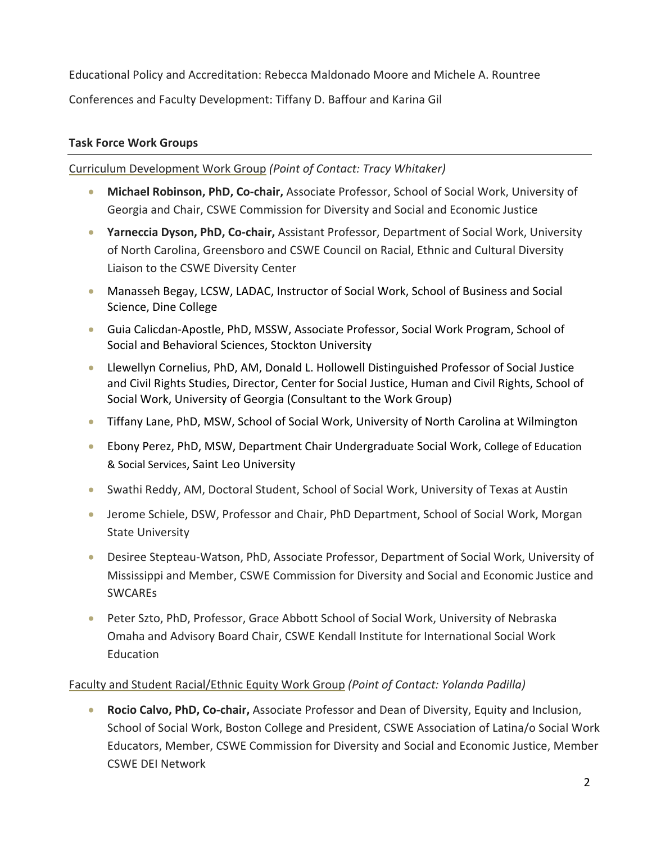Educational Policy and Accreditation: Rebecca Maldonado Moore and Michele A. Rountree Conferences and Faculty Development: Tiffany D. Baffour and Karina Gil

## **Task Force Work Groups**

### Curriculum Development Work Group *(Point of Contact: Tracy Whitaker)*

- **Michael Robinson, PhD, Co-chair,** Associate Professor, School of Social Work, University of Georgia and Chair, CSWE Commission for Diversity and Social and Economic Justice
- **Yarneccia Dyson, PhD, Co-chair,** Assistant Professor, Department of Social Work, University of North Carolina, Greensboro and CSWE Council on Racial, Ethnic and Cultural Diversity Liaison to the CSWE Diversity Center
- Manasseh Begay, LCSW, LADAC, Instructor of Social Work, School of Business and Social Science, Dine College
- Guia Calicdan-Apostle, PhD, MSSW, Associate Professor, Social Work Program, School of Social and Behavioral Sciences, Stockton University
- Llewellyn Cornelius, PhD, AM, Donald L. Hollowell Distinguished Professor of Social Justice and Civil Rights Studies, Director, Center for Social Justice, Human and Civil Rights, School of Social Work, University of Georgia (Consultant to the Work Group)
- Tiffany Lane, PhD, MSW, School of Social Work, University of North Carolina at Wilmington
- Ebony Perez, PhD, MSW, Department Chair Undergraduate Social Work, College of Education & Social Services, Saint Leo University
- Swathi Reddy, AM, Doctoral Student, School of Social Work, University of Texas at Austin
- Jerome Schiele, DSW, Professor and Chair, PhD Department, School of Social Work, Morgan State University
- Desiree Stepteau-Watson, PhD, Associate Professor, Department of Social Work, University of Mississippi and Member, CSWE Commission for Diversity and Social and Economic Justice and SWCAREs
- Peter Szto, PhD, Professor, Grace Abbott School of Social Work, University of Nebraska Omaha and Advisory Board Chair, CSWE Kendall Institute for International Social Work Education

### Faculty and Student Racial/Ethnic Equity Work Group *(Point of Contact: Yolanda Padilla)*

• **Rocio Calvo, PhD, Co-chair,** Associate Professor and Dean of Diversity, Equity and Inclusion, School of Social Work, Boston College and President, CSWE Association of Latina/o Social Work Educators, Member, CSWE Commission for Diversity and Social and Economic Justice, Member CSWE DEI Network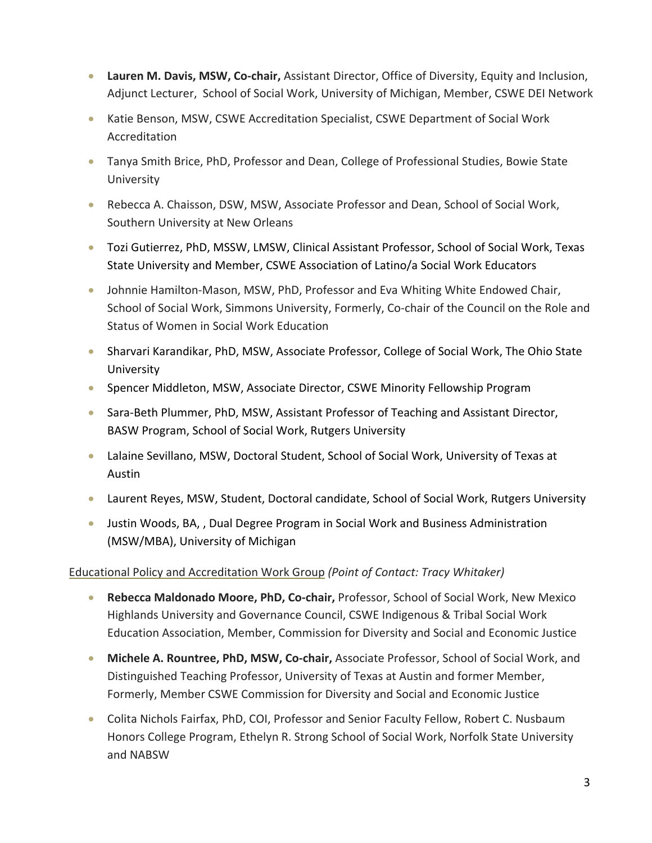- **Lauren M. Davis, MSW, Co-chair,** Assistant Director, Office of Diversity, Equity and Inclusion, Adjunct Lecturer, School of Social Work, University of Michigan, Member, CSWE DEI Network
- Katie Benson, MSW, CSWE Accreditation Specialist, CSWE Department of Social Work Accreditation
- Tanya Smith Brice, PhD, Professor and Dean, College of Professional Studies, Bowie State University
- Rebecca A. Chaisson, DSW, MSW, Associate Professor and Dean, School of Social Work, Southern University at New Orleans
- Tozi Gutierrez, PhD, MSSW, LMSW, Clinical Assistant Professor, School of Social Work, Texas State University and Member, CSWE Association of Latino/a Social Work Educators
- Johnnie Hamilton-Mason, MSW, PhD, Professor and Eva Whiting White Endowed Chair, School of Social Work, Simmons University, Formerly, Co-chair of the Council on the Role and Status of Women in Social Work Education
- Sharvari Karandikar, PhD, MSW, Associate Professor, College of Social Work, The Ohio State University
- Spencer Middleton, MSW, Associate Director, CSWE Minority Fellowship Program
- Sara-Beth Plummer, PhD, MSW, Assistant Professor of Teaching and Assistant Director, BASW Program, School of Social Work, Rutgers University
- Lalaine Sevillano, MSW, Doctoral Student, School of Social Work, University of Texas at Austin
- Laurent Reyes, MSW, Student, Doctoral candidate, School of Social Work, Rutgers University
- Justin Woods, BA,, Dual Degree Program in Social Work and Business Administration (MSW/MBA), University of Michigan

# Educational Policy and Accreditation Work Group *(Point of Contact: Tracy Whitaker)*

- **Rebecca Maldonado Moore, PhD, Co-chair,** Professor, School of Social Work, New Mexico Highlands University and Governance Council, CSWE Indigenous & Tribal Social Work Education Association, Member, Commission for Diversity and Social and Economic Justice
- **Michele A. Rountree, PhD, MSW, Co-chair,** Associate Professor, School of Social Work, and Distinguished Teaching Professor, University of Texas at Austin and former Member, Formerly, Member CSWE Commission for Diversity and Social and Economic Justice
- Colita Nichols Fairfax, PhD, COI, Professor and Senior Faculty Fellow, Robert C. Nusbaum Honors College Program, Ethelyn R. Strong School of Social Work, Norfolk State University and NABSW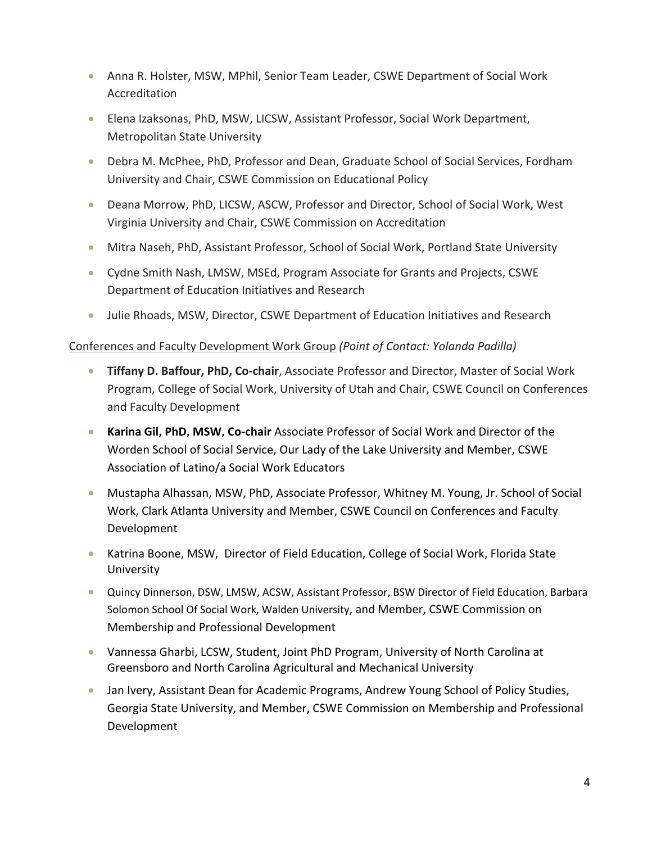- Anna R. Holster, MSW, MPhil, Senior Team Leader, CSWE Department of Social Work Accreditation
- Elena Izaksonas, PhD, MSW, LICSW, Assistant Professor, Social Work Department, Metropolitan State University
- Debra M. McPhee, PhD, Professor and Dean, Graduate School of Social Services, Fordham University and Chair, CSWE Commission on Educational Policy
- Deana Morrow, PhD, LICSW, ASCW, Professor and Director, School of Social Work, West Virginia University and Chair, CSWE Commission on Accreditation
- Mitra Naseh, PhD, Assistant Professor, School of Social Work, Portland State University
- Cydne Smith Nash, LMSW, MSEd, Program Associate for Grants and Projects, CSWE Department of Education Initiatives and Research
- Julie Rhoads, MSW, Director, CSWE Department of Education Initiatives and Research

## Conferences and Faculty Development Work Group *(Point of Contact: Yolanda Padilla)*

- **Tiffany D. Baffour, PhD, Co-chair**, Associate Professor and Director, Master of Social Work Program, College of Social Work, University of Utah and Chair, CSWE Council on Conferences and Faculty Development
- **Karina Gil, PhD, MSW, Co-chair** Associate Professor of Social Work and Director of the Worden School of Social Service, Our Lady of the Lake University and Member, CSWE Association of Latino/a Social Work Educators
- Mustapha Alhassan, MSW, PhD, Associate Professor, Whitney M. Young, Jr. School of Social Work, Clark Atlanta University and Member, CSWE Council on Conferences and Faculty Development
- Katrina Boone, MSW, Director of Field Education, College of Social Work, Florida State University
- Quincy Dinnerson, DSW, LMSW, ACSW, Assistant Professor, BSW Director of Field Education, Barbara Solomon School Of Social Work, Walden University, and Member, CSWE Commission on Membership and Professional Development
- Vannessa Gharbi, LCSW, Student, Joint PhD Program, University of North Carolina at Greensboro and North Carolina Agricultural and Mechanical University
- Jan Ivery, Assistant Dean for Academic Programs, Andrew Young School of Policy Studies, Georgia State University, and Member, CSWE Commission on Membership and Professional Development